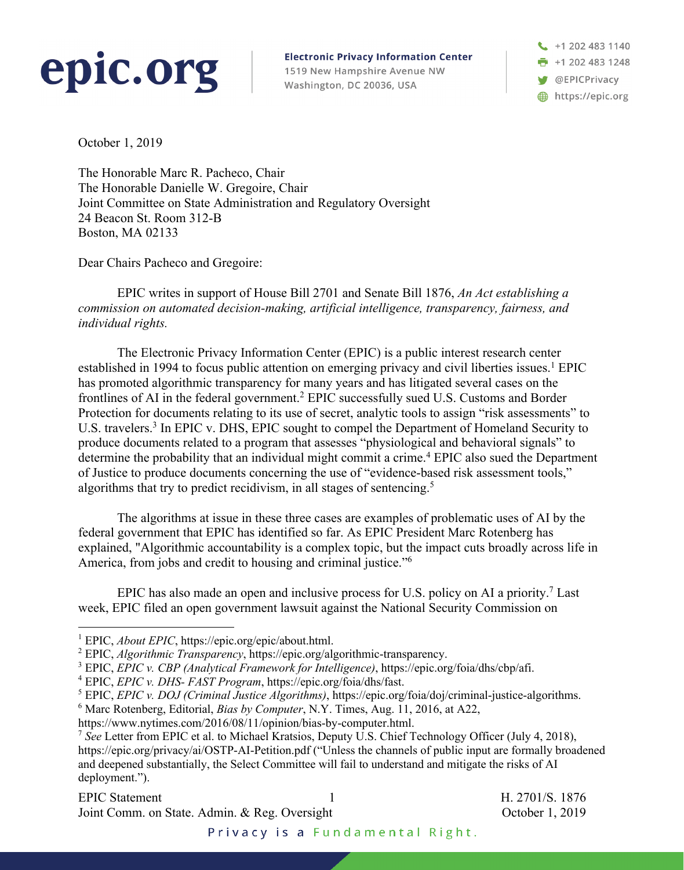# epic.org

**Electronic Privacy Information Center** 1519 New Hampshire Avenue NW Washington, DC 20036, USA

 $\begin{array}{c} \begin{array}{c} \end{array}$  +1 202 483 1140  $\frac{1}{2}$  +1 202 483 1248 OEPICPrivacy https://epic.org

October 1, 2019

The Honorable Marc R. Pacheco, Chair The Honorable Danielle W. Gregoire, Chair Joint Committee on State Administration and Regulatory Oversight 24 Beacon St. Room 312-B Boston, MA 02133

Dear Chairs Pacheco and Gregoire:

EPIC writes in support of House Bill 2701 and Senate Bill 1876, *An Act establishing a commission on automated decision-making, artificial intelligence, transparency, fairness, and individual rights.*

The Electronic Privacy Information Center (EPIC) is a public interest research center established in 1994 to focus public attention on emerging privacy and civil liberties issues.<sup>1</sup> EPIC has promoted algorithmic transparency for many years and has litigated several cases on the frontlines of AI in the federal government.2 EPIC successfully sued U.S. Customs and Border Protection for documents relating to its use of secret, analytic tools to assign "risk assessments" to U.S. travelers.<sup>3</sup> In EPIC v. DHS, EPIC sought to compel the Department of Homeland Security to produce documents related to a program that assesses "physiological and behavioral signals" to determine the probability that an individual might commit a crime.<sup>4</sup> EPIC also sued the Department of Justice to produce documents concerning the use of "evidence-based risk assessment tools," algorithms that try to predict recidivism, in all stages of sentencing. 5

The algorithms at issue in these three cases are examples of problematic uses of AI by the federal government that EPIC has identified so far. As EPIC President Marc Rotenberg has explained, "Algorithmic accountability is a complex topic, but the impact cuts broadly across life in America, from jobs and credit to housing and criminal justice."6

EPIC has also made an open and inclusive process for U.S. policy on AI a priority.<sup>7</sup> Last week, EPIC filed an open government lawsuit against the National Security Commission on

# EPIC Statement 1 H. 2701/S. 1876 Joint Comm. on State. Admin. & Reg. Oversight Contract Corollary October 1, 2019

Privacy is a Fundamental Right.

<sup>1</sup> EPIC, *About EPIC*, https://epic.org/epic/about.html.

<sup>2</sup> EPIC, *Algorithmic Transparency*, https://epic.org/algorithmic-transparency.

<sup>3</sup> EPIC, *EPIC v. CBP (Analytical Framework for Intelligence)*, https://epic.org/foia/dhs/cbp/afi.

<sup>4</sup> EPIC, *EPIC v. DHS- FAST Program*, https://epic.org/foia/dhs/fast.

<sup>5</sup> EPIC, *EPIC v. DOJ (Criminal Justice Algorithms)*, https://epic.org/foia/doj/criminal-justice-algorithms.

<sup>6</sup> Marc Rotenberg, Editorial, *Bias by Computer*, N.Y. Times, Aug. 11, 2016, at A22,

https://www.nytimes.com/2016/08/11/opinion/bias-by-computer.html.

<sup>7</sup> *See* Letter from EPIC et al. to Michael Kratsios, Deputy U.S. Chief Technology Officer (July 4, 2018), https://epic.org/privacy/ai/OSTP-AI-Petition.pdf ("Unless the channels of public input are formally broadened and deepened substantially, the Select Committee will fail to understand and mitigate the risks of AI deployment.").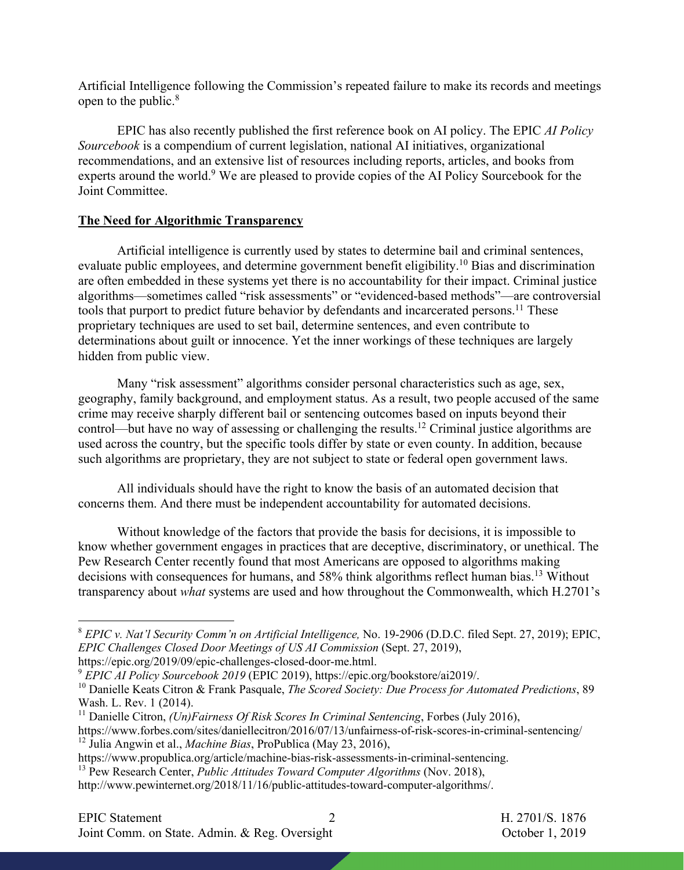Artificial Intelligence following the Commission's repeated failure to make its records and meetings open to the public.8

EPIC has also recently published the first reference book on AI policy. The EPIC *AI Policy Sourcebook* is a compendium of current legislation, national AI initiatives, organizational recommendations, and an extensive list of resources including reports, articles, and books from experts around the world.<sup>9</sup> We are pleased to provide copies of the AI Policy Sourcebook for the Joint Committee.

#### **The Need for Algorithmic Transparency**

Artificial intelligence is currently used by states to determine bail and criminal sentences, evaluate public employees, and determine government benefit eligibility.<sup>10</sup> Bias and discrimination are often embedded in these systems yet there is no accountability for their impact. Criminal justice algorithms—sometimes called "risk assessments" or "evidenced-based methods"—are controversial tools that purport to predict future behavior by defendants and incarcerated persons.<sup>11</sup> These proprietary techniques are used to set bail, determine sentences, and even contribute to determinations about guilt or innocence. Yet the inner workings of these techniques are largely hidden from public view.

Many "risk assessment" algorithms consider personal characteristics such as age, sex, geography, family background, and employment status. As a result, two people accused of the same crime may receive sharply different bail or sentencing outcomes based on inputs beyond their control—but have no way of assessing or challenging the results.<sup>12</sup> Criminal justice algorithms are used across the country, but the specific tools differ by state or even county. In addition, because such algorithms are proprietary, they are not subject to state or federal open government laws.

All individuals should have the right to know the basis of an automated decision that concerns them. And there must be independent accountability for automated decisions.

Without knowledge of the factors that provide the basis for decisions, it is impossible to know whether government engages in practices that are deceptive, discriminatory, or unethical. The Pew Research Center recently found that most Americans are opposed to algorithms making decisions with consequences for humans, and 58% think algorithms reflect human bias.<sup>13</sup> Without transparency about *what* systems are used and how throughout the Commonwealth, which H.2701's

<sup>8</sup> *EPIC v. Nat'l Security Comm'n on Artificial Intelligence,* No. 19-2906 (D.D.C. filed Sept. 27, 2019); EPIC, *EPIC Challenges Closed Door Meetings of US AI Commission* (Sept. 27, 2019),

https://epic.org/2019/09/epic-challenges-closed-door-me.html.

<sup>9</sup> *EPIC AI Policy Sourcebook 2019* (EPIC 2019), https://epic.org/bookstore/ai2019/.

<sup>10</sup> Danielle Keats Citron & Frank Pasquale, *The Scored Society: Due Process for Automated Predictions*, 89 Wash. L. Rev. 1 (2014).

<sup>&</sup>lt;sup>11</sup> Danielle Citron, *(Un)Fairness Of Risk Scores In Criminal Sentencing*, Forbes (July 2016),

https://www.forbes.com/sites/daniellecitron/2016/07/13/unfairness-of-risk-scores-in-criminal-sentencing/ <sup>12</sup> Julia Angwin et al., *Machine Bias*, ProPublica (May 23, 2016),

https://www.propublica.org/article/machine-bias-risk-assessments-in-criminal-sentencing.

<sup>13</sup> Pew Research Center, *Public Attitudes Toward Computer Algorithms* (Nov. 2018),

http://www.pewinternet.org/2018/11/16/public-attitudes-toward-computer-algorithms/.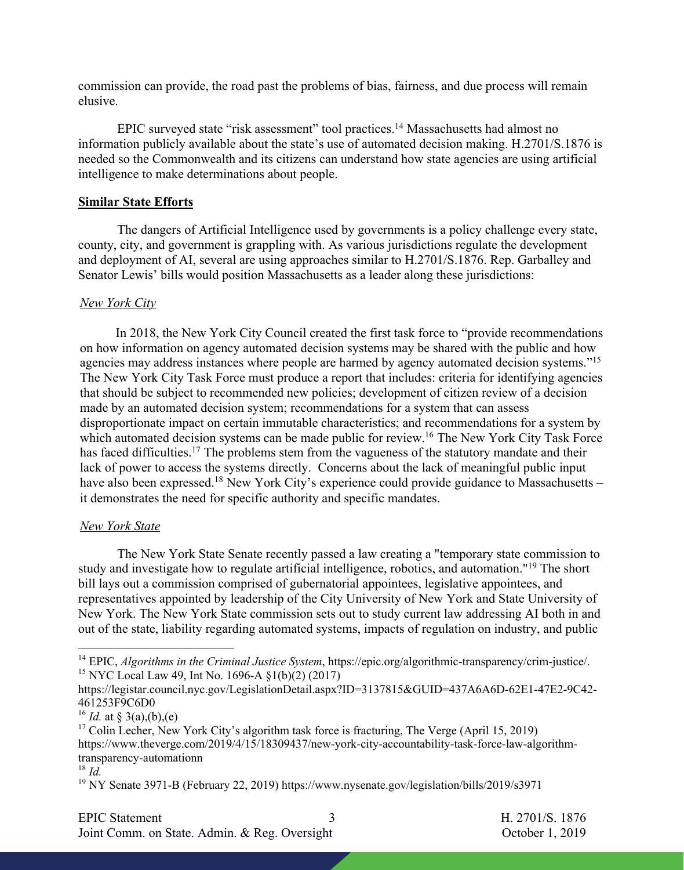commission can provide, the road past the problems of bias, fairness, and due process will remain elusive.

EPIC surveyed state "risk assessment" tool practices.14 Massachusetts had almost no information publicly available about the state's use of automated decision making. H.2701/S.1876 is needed so the Commonwealth and its citizens can understand how state agencies are using artificial intelligence to make determinations about people.

#### **Similar State Efforts**

The dangers of Artificial Intelligence used by governments is a policy challenge every state, county, city, and government is grappling with. As various jurisdictions regulate the development and deployment of AI, several are using approaches similar to H.2701/S.1876. Rep. Garballey and Senator Lewis' bills would position Massachusetts as a leader along these jurisdictions:

#### *New York City*

 In 2018, the New York City Council created the first task force to "provide recommendations on how information on agency automated decision systems may be shared with the public and how agencies may address instances where people are harmed by agency automated decision systems."<sup>15</sup> The New York City Task Force must produce a report that includes: criteria for identifying agencies that should be subject to recommended new policies; development of citizen review of a decision made by an automated decision system; recommendations for a system that can assess disproportionate impact on certain immutable characteristics; and recommendations for a system by which automated decision systems can be made public for review.<sup>16</sup> The New York City Task Force has faced difficulties.<sup>17</sup> The problems stem from the vagueness of the statutory mandate and their lack of power to access the systems directly. Concerns about the lack of meaningful public input have also been expressed.<sup>18</sup> New York City's experience could provide guidance to Massachusetts – it demonstrates the need for specific authority and specific mandates.

#### *New York State*

The New York State Senate recently passed a law creating a "temporary state commission to study and investigate how to regulate artificial intelligence, robotics, and automation."19 The short bill lays out a commission comprised of gubernatorial appointees, legislative appointees, and representatives appointed by leadership of the City University of New York and State University of New York. The New York State commission sets out to study current law addressing AI both in and out of the state, liability regarding automated systems, impacts of regulation on industry, and public

<sup>16</sup> *Id.* at § 3(a),(b),(e)

# EPIC Statement 3 H. 2701/S. 1876

Joint Comm. on State. Admin. & Reg. Oversight Contract Corollary October 1, 2019

<sup>14</sup> EPIC, *Algorithms in the Criminal Justice System*, https://epic.org/algorithmic-transparency/crim-justice/. <sup>15</sup> NYC Local Law 49, Int No. 1696-A §1(b)(2) (2017)

https://legistar.council.nyc.gov/LegislationDetail.aspx?ID=3137815&GUID=437A6A6D-62E1-47E2-9C42- 461253F9C6D0

<sup>&</sup>lt;sup>17</sup> Colin Lecher, New York City's algorithm task force is fracturing, The Verge (April 15, 2019) https://www.theverge.com/2019/4/15/18309437/new-york-city-accountability-task-force-law-algorithmtransparency-automationn

 $^{18}$  *Id.* 

<sup>&</sup>lt;sup>19</sup> NY Senate 3971-B (February 22, 2019) https://www.nysenate.gov/legislation/bills/2019/s3971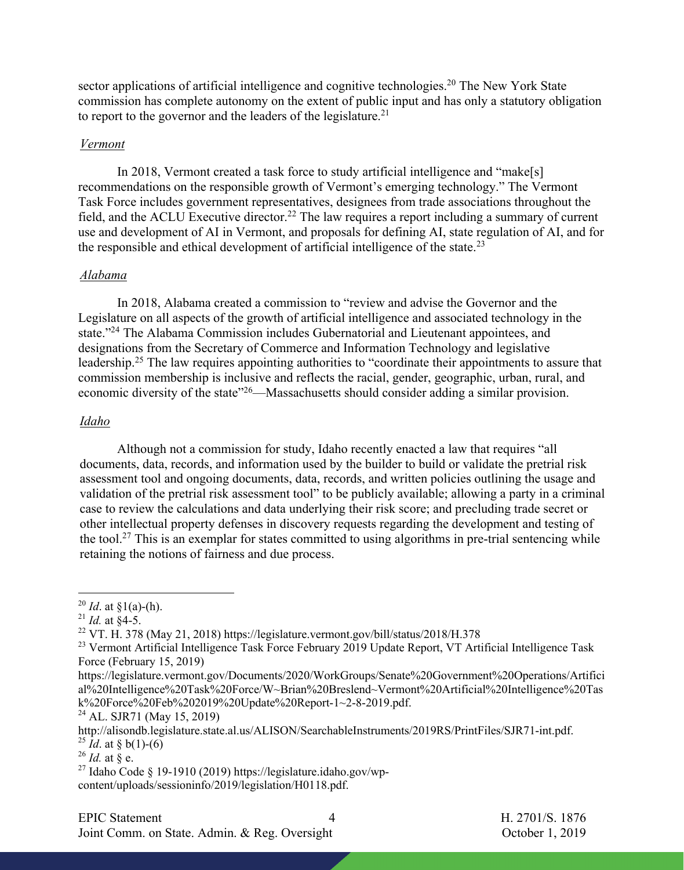sector applications of artificial intelligence and cognitive technologies.<sup>20</sup> The New York State commission has complete autonomy on the extent of public input and has only a statutory obligation to report to the governor and the leaders of the legislature.<sup>21</sup>

#### *Vermont*

In 2018, Vermont created a task force to study artificial intelligence and "make[s] recommendations on the responsible growth of Vermont's emerging technology." The Vermont Task Force includes government representatives, designees from trade associations throughout the field, and the ACLU Executive director.<sup>22</sup> The law requires a report including a summary of current use and development of AI in Vermont, and proposals for defining AI, state regulation of AI, and for the responsible and ethical development of artificial intelligence of the state.<sup>23</sup>

# *Alabama*

In 2018, Alabama created a commission to "review and advise the Governor and the Legislature on all aspects of the growth of artificial intelligence and associated technology in the state."24 The Alabama Commission includes Gubernatorial and Lieutenant appointees, and designations from the Secretary of Commerce and Information Technology and legislative leadership.25 The law requires appointing authorities to "coordinate their appointments to assure that commission membership is inclusive and reflects the racial, gender, geographic, urban, rural, and economic diversity of the state"<sup>26</sup>—Massachusetts should consider adding a similar provision.

# *Idaho*

Although not a commission for study, Idaho recently enacted a law that requires "all documents, data, records, and information used by the builder to build or validate the pretrial risk assessment tool and ongoing documents, data, records, and written policies outlining the usage and validation of the pretrial risk assessment tool" to be publicly available; allowing a party in a criminal case to review the calculations and data underlying their risk score; and precluding trade secret or other intellectual property defenses in discovery requests regarding the development and testing of the tool.<sup>27</sup> This is an exemplar for states committed to using algorithms in pre-trial sentencing while retaining the notions of fairness and due process.

Joint Comm. on State. Admin. & Reg. Oversight Contract Corollary October 1, 2019

<sup>&</sup>lt;sup>20</sup> *Id.* at  $\S1(a)$ -(h).

<sup>&</sup>lt;sup>21</sup> *Id.* at  $\&4-5$ .

<sup>&</sup>lt;sup>22</sup> VT. H. 378 (May 21, 2018) https://legislature.vermont.gov/bill/status/2018/H.378

<sup>&</sup>lt;sup>23</sup> Vermont Artificial Intelligence Task Force February 2019 Update Report, VT Artificial Intelligence Task Force (February 15, 2019)

https://legislature.vermont.gov/Documents/2020/WorkGroups/Senate%20Government%20Operations/Artifici al%20Intelligence%20Task%20Force/W~Brian%20Breslend~Vermont%20Artificial%20Intelligence%20Tas k%20Force%20Feb%202019%20Update%20Report-1~2-8-2019.pdf.

<sup>24</sup> AL. SJR71 (May 15, 2019)

http://alisondb.legislature.state.al.us/ALISON/SearchableInstruments/2019RS/PrintFiles/SJR71-int.pdf. <sup>25</sup> *Id.* at § b(1)-(6)

<sup>26</sup> *Id.* at § e.

<sup>&</sup>lt;sup>27</sup> Idaho Code § 19-1910 (2019) https://legislature.idaho.gov/wpcontent/uploads/sessioninfo/2019/legislation/H0118.pdf.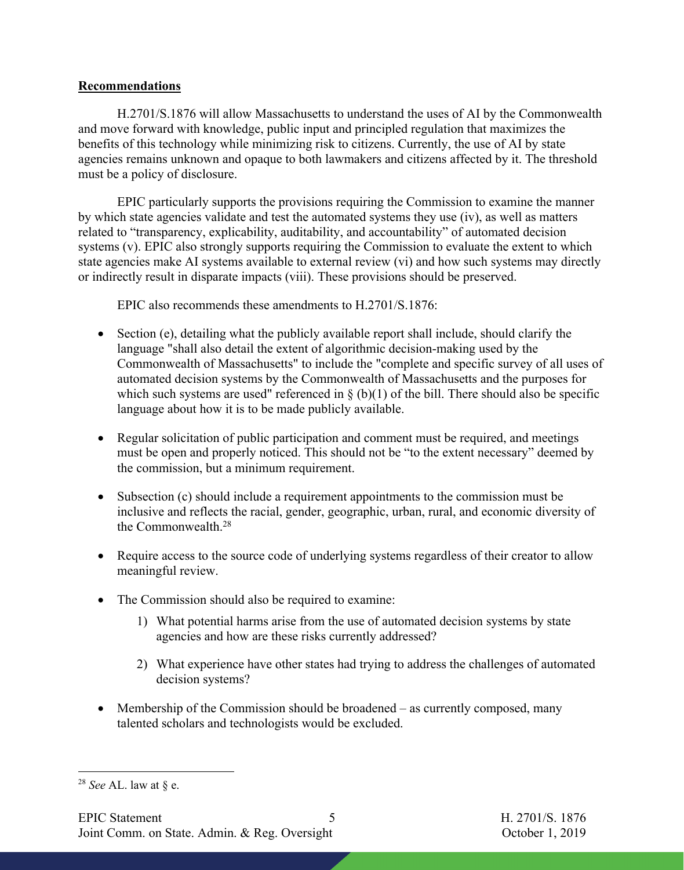# **Recommendations**

H.2701/S.1876 will allow Massachusetts to understand the uses of AI by the Commonwealth and move forward with knowledge, public input and principled regulation that maximizes the benefits of this technology while minimizing risk to citizens. Currently, the use of AI by state agencies remains unknown and opaque to both lawmakers and citizens affected by it. The threshold must be a policy of disclosure.

EPIC particularly supports the provisions requiring the Commission to examine the manner by which state agencies validate and test the automated systems they use (iv), as well as matters related to "transparency, explicability, auditability, and accountability" of automated decision systems (v). EPIC also strongly supports requiring the Commission to evaluate the extent to which state agencies make AI systems available to external review (vi) and how such systems may directly or indirectly result in disparate impacts (viii). These provisions should be preserved.

EPIC also recommends these amendments to H.2701/S.1876:

- Section (e), detailing what the publicly available report shall include, should clarify the language "shall also detail the extent of algorithmic decision-making used by the Commonwealth of Massachusetts" to include the "complete and specific survey of all uses of automated decision systems by the Commonwealth of Massachusetts and the purposes for which such systems are used" referenced in  $\S$  (b)(1) of the bill. There should also be specific language about how it is to be made publicly available.
- Regular solicitation of public participation and comment must be required, and meetings must be open and properly noticed. This should not be "to the extent necessary" deemed by the commission, but a minimum requirement.
- Subsection (c) should include a requirement appointments to the commission must be inclusive and reflects the racial, gender, geographic, urban, rural, and economic diversity of the Commonwealth.28
- Require access to the source code of underlying systems regardless of their creator to allow meaningful review.
- The Commission should also be required to examine:
	- 1) What potential harms arise from the use of automated decision systems by state agencies and how are these risks currently addressed?
	- 2) What experience have other states had trying to address the challenges of automated decision systems?
- Membership of the Commission should be broadened as currently composed, many talented scholars and technologists would be excluded.

<sup>28</sup> *See* AL. law at § e.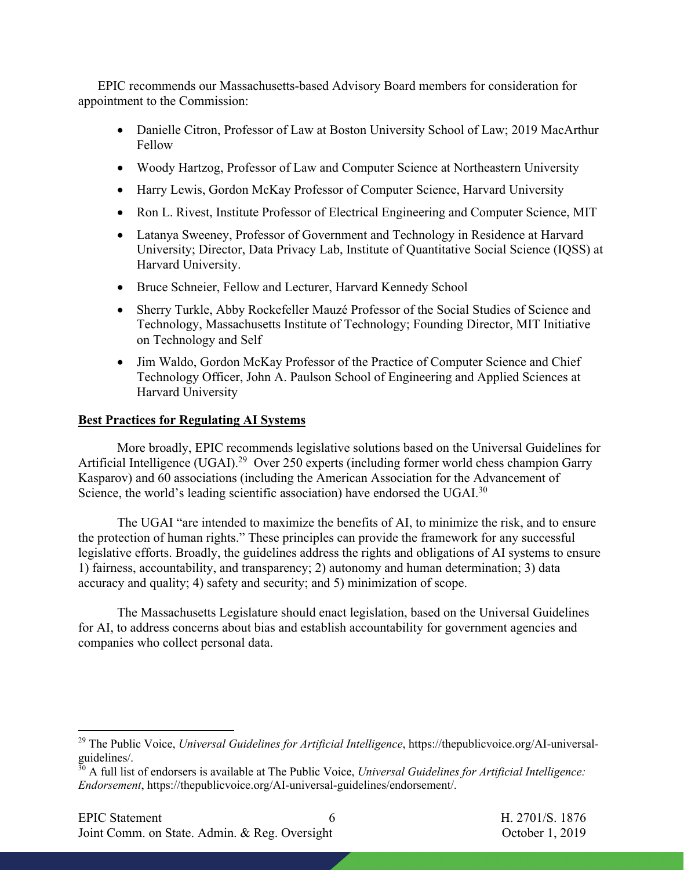EPIC recommends our Massachusetts-based Advisory Board members for consideration for appointment to the Commission:

- Danielle Citron, Professor of Law at Boston University School of Law; 2019 MacArthur Fellow
- Woody Hartzog, Professor of Law and Computer Science at Northeastern University
- Harry Lewis, Gordon McKay Professor of Computer Science, Harvard University
- Ron L. Rivest, Institute Professor of Electrical Engineering and Computer Science, MIT
- Latanya Sweeney, Professor of Government and Technology in Residence at Harvard University; Director, Data Privacy Lab, Institute of Quantitative Social Science (IQSS) at Harvard University.
- Bruce Schneier, Fellow and Lecturer, Harvard Kennedy School
- Sherry Turkle, Abby Rockefeller Mauzé Professor of the Social Studies of Science and Technology, Massachusetts Institute of Technology; Founding Director, MIT Initiative on Technology and Self
- Jim Waldo, Gordon McKay Professor of the Practice of Computer Science and Chief Technology Officer, John A. Paulson School of Engineering and Applied Sciences at Harvard University

# **Best Practices for Regulating AI Systems**

More broadly, EPIC recommends legislative solutions based on the Universal Guidelines for Artificial Intelligence (UGAI).<sup>29</sup> Over 250 experts (including former world chess champion Garry Kasparov) and 60 associations (including the American Association for the Advancement of Science, the world's leading scientific association) have endorsed the UGAI.<sup>30</sup>

The UGAI "are intended to maximize the benefits of AI, to minimize the risk, and to ensure the protection of human rights." These principles can provide the framework for any successful legislative efforts. Broadly, the guidelines address the rights and obligations of AI systems to ensure 1) fairness, accountability, and transparency; 2) autonomy and human determination; 3) data accuracy and quality; 4) safety and security; and 5) minimization of scope.

The Massachusetts Legislature should enact legislation, based on the Universal Guidelines for AI, to address concerns about bias and establish accountability for government agencies and companies who collect personal data.

<sup>29</sup> The Public Voice, *Universal Guidelines for Artificial Intelligence*, https://thepublicvoice.org/AI-universalguidelines/.

<sup>30</sup> A full list of endorsers is available at The Public Voice, *Universal Guidelines for Artificial Intelligence: Endorsement*, https://thepublicvoice.org/AI-universal-guidelines/endorsement/.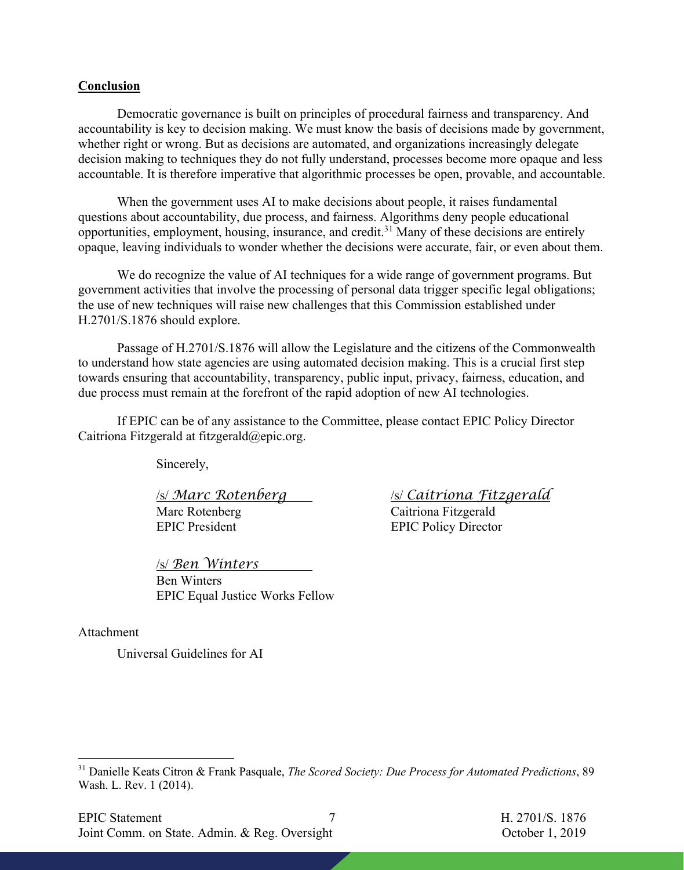#### **Conclusion**

Democratic governance is built on principles of procedural fairness and transparency. And accountability is key to decision making. We must know the basis of decisions made by government, whether right or wrong. But as decisions are automated, and organizations increasingly delegate decision making to techniques they do not fully understand, processes become more opaque and less accountable. It is therefore imperative that algorithmic processes be open, provable, and accountable.

When the government uses AI to make decisions about people, it raises fundamental questions about accountability, due process, and fairness. Algorithms deny people educational opportunities, employment, housing, insurance, and credit.31 Many of these decisions are entirely opaque, leaving individuals to wonder whether the decisions were accurate, fair, or even about them.

We do recognize the value of AI techniques for a wide range of government programs. But government activities that involve the processing of personal data trigger specific legal obligations; the use of new techniques will raise new challenges that this Commission established under H.2701/S.1876 should explore.

Passage of H.2701/S.1876 will allow the Legislature and the citizens of the Commonwealth to understand how state agencies are using automated decision making. This is a crucial first step towards ensuring that accountability, transparency, public input, privacy, fairness, education, and due process must remain at the forefront of the rapid adoption of new AI technologies.

If EPIC can be of any assistance to the Committee, please contact EPIC Policy Director Caitriona Fitzgerald at fitzgerald@epic.org.

Sincerely,

Marc Rotenberg Caitriona Fitzgerald EPIC President EPIC Policy Director

/s/ *Ben Winters* Ben Winters EPIC Equal Justice Works Fellow

/s/ *Marc Rotenberg* /s/ *Caitriona Fitzgerald*

Attachment

Universal Guidelines for AI

<sup>31</sup> Danielle Keats Citron & Frank Pasquale, *The Scored Society: Due Process for Automated Predictions*, 89 Wash. L. Rev. 1 (2014).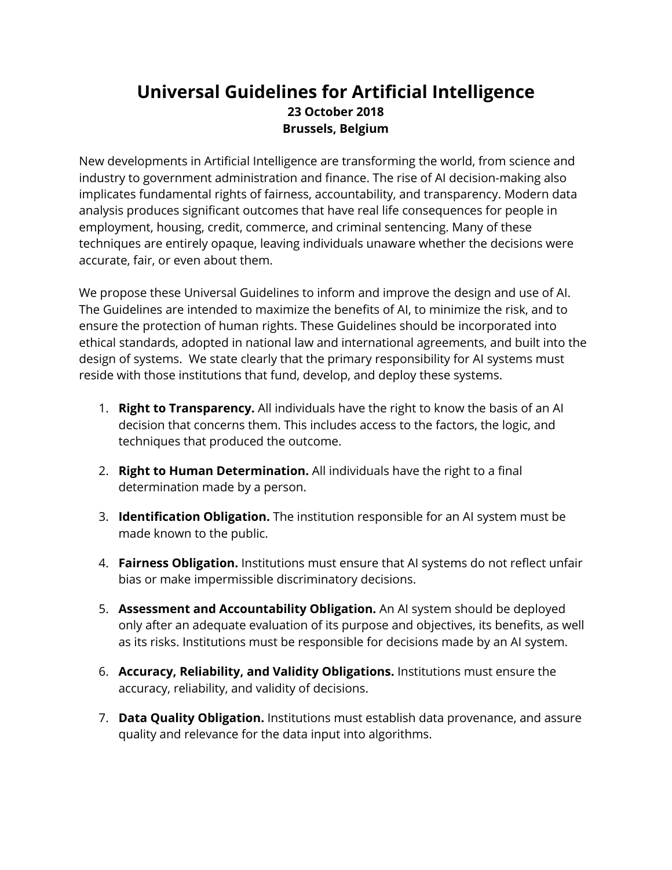# **Universal Guidelines for Artificial Intelligence 23 October 2018 Brussels, Belgium**

New developments in Artificial Intelligence are transforming the world, from science and industry to government administration and finance. The rise of AI decision-making also implicates fundamental rights of fairness, accountability, and transparency. Modern data analysis produces significant outcomes that have real life consequences for people in employment, housing, credit, commerce, and criminal sentencing. Many of these techniques are entirely opaque, leaving individuals unaware whether the decisions were accurate, fair, or even about them.

We propose these Universal Guidelines to inform and improve the design and use of AI. The Guidelines are intended to maximize the benefits of AI, to minimize the risk, and to ensure the protection of human rights. These Guidelines should be incorporated into ethical standards, adopted in national law and international agreements, and built into the design of systems. We state clearly that the primary responsibility for AI systems must reside with those institutions that fund, develop, and deploy these systems.

- 1. **Right to Transparency.** All individuals have the right to know the basis of an AI decision that concerns them. This includes access to the factors, the logic, and techniques that produced the outcome.
- 2. **Right to Human Determination.** All individuals have the right to a final determination made by a person.
- 3. **Identification Obligation.** The institution responsible for an AI system must be made known to the public.
- 4. **Fairness Obligation.** Institutions must ensure that AI systems do not reflect unfair bias or make impermissible discriminatory decisions.
- 5. **Assessment and Accountability Obligation.** An AI system should be deployed only after an adequate evaluation of its purpose and objectives, its benefits, as well as its risks. Institutions must be responsible for decisions made by an AI system.
- 6. **Accuracy, Reliability, and Validity Obligations.** Institutions must ensure the accuracy, reliability, and validity of decisions.
- 7. **Data Quality Obligation.** Institutions must establish data provenance, and assure quality and relevance for the data input into algorithms.